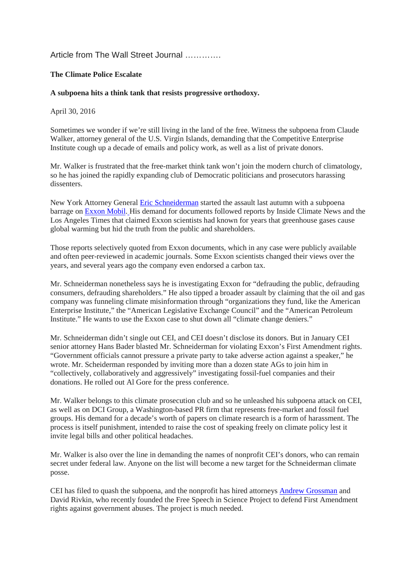## Article from The Wall Street Journal ………….

## **The Climate Police Escalate**

## **A subpoena hits a think tank that resists progressive orthodoxy.**

## April 30, 2016

Sometimes we wonder if we're still living in the land of the free. Witness the subpoena from Claude Walker, attorney general of the U.S. Virgin Islands, demanding that the Competitive Enterprise Institute cough up a decade of emails and policy work, as well as a list of private donors.

Mr. Walker is frustrated that the free-market think tank won't join the modern church of climatology, so he has joined the rapidly expanding club of Democratic politicians and prosecutors harassing dissenters.

New York Attorney General [Eric Schneiderman](http://topics.wsj.com/person/S/Eric-Schneiderman/7092) started the assault last autumn with a subpoena barrage on [Exxon Mobil.](http://quotes.wsj.com/XOM) His demand for documents followed reports by Inside Climate News and the Los Angeles Times that claimed Exxon scientists had known for years that greenhouse gases cause global warming but hid the truth from the public and shareholders.

Those reports selectively quoted from Exxon documents, which in any case were publicly available and often peer-reviewed in academic journals. Some Exxon scientists changed their views over the years, and several years ago the company even endorsed a carbon tax.

Mr. Schneiderman nonetheless says he is investigating Exxon for "defrauding the public, defrauding consumers, defrauding shareholders." He also tipped a broader assault by claiming that the oil and gas company was funneling climate misinformation through "organizations they fund, like the American Enterprise Institute," the "American Legislative Exchange Council" and the "American Petroleum Institute." He wants to use the Exxon case to shut down all "climate change deniers."

Mr. Schneiderman didn't single out CEI, and CEI doesn't disclose its donors. But in January CEI senior attorney Hans Bader blasted Mr. Schneiderman for violating Exxon's First Amendment rights. "Government officials cannot pressure a private party to take adverse action against a speaker," he wrote. Mr. Scheiderman responded by inviting more than a dozen state AGs to join him in "collectively, collaboratively and aggressively" investigating fossil-fuel companies and their donations. He rolled out Al Gore for the press conference.

Mr. Walker belongs to this climate prosecution club and so he unleashed his subpoena attack on CEI, as well as on DCI Group, a Washington-based PR firm that represents free-market and fossil fuel groups. His demand for a decade's worth of papers on climate research is a form of harassment. The process is itself punishment, intended to raise the cost of speaking freely on climate policy lest it invite legal bills and other political headaches.

Mr. Walker is also over the line in demanding the names of nonprofit CEI's donors, who can remain secret under federal law. Anyone on the list will become a new target for the Schneiderman climate posse.

CEI has filed to quash the subpoena, and the nonprofit has hired attorneys [Andrew Grossman](http://topics.wsj.com/person/G/Andrew-Grossman/6188) and David Rivkin, who recently founded the Free Speech in Science Project to defend First Amendment rights against government abuses. The project is much needed.